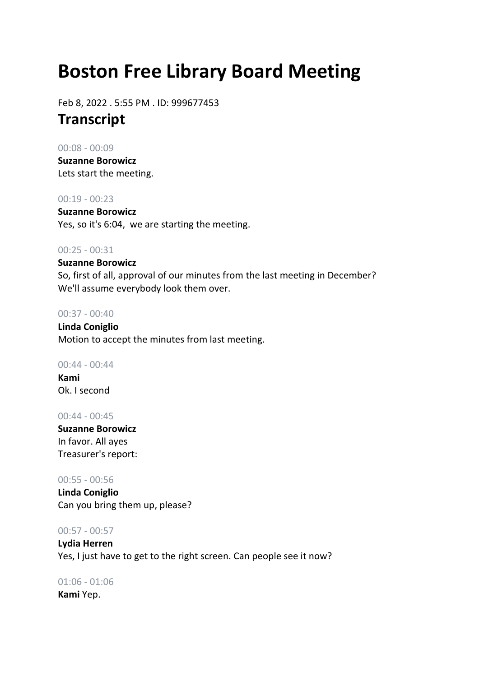# **Boston Free Library Board Meeting**

Feb 8, 2022 . 5:55 PM . ID: 999677453 **Transcript**

## 00:08 - 00:09

**Suzanne Borowicz** Lets start the meeting.

# 00:19 - 00:23

**Suzanne Borowicz** Yes, so it's 6:04, we are starting the meeting.

# 00:25 - 00:31

**Suzanne Borowicz** So, first of all, approval of our minutes from the last meeting in December? We'll assume everybody look them over.

# 00:37 - 00:40

**Linda Coniglio** Motion to accept the minutes from last meeting.

# 00:44 - 00:44

**Kami** Ok. I second

# 00:44 - 00:45

**Suzanne Borowicz** In favor. All ayes Treasurer's report:

# 00:55 - 00:56

**Linda Coniglio** Can you bring them up, please?

# 00:57 - 00:57

**Lydia Herren** Yes, I just have to get to the right screen. Can people see it now?

# 01:06 - 01:06

**Kami** Yep.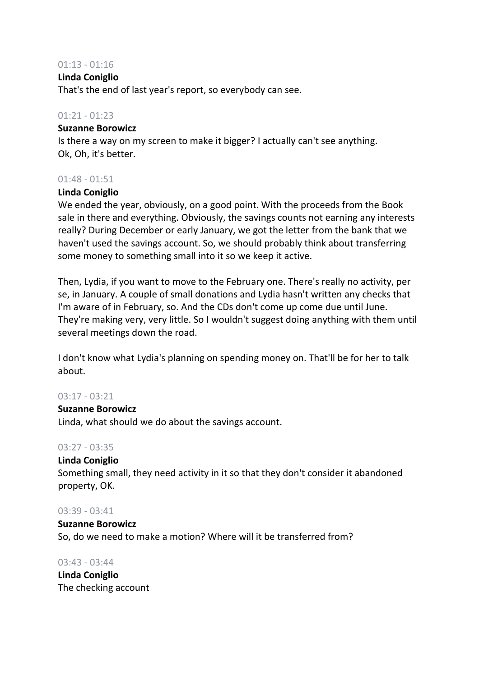## 01:13 - 01:16

#### **Linda Coniglio**

That's the end of last year's report, so everybody can see.

# 01:21 - 01:23

#### **Suzanne Borowicz**

Is there a way on my screen to make it bigger? I actually can't see anything. Ok, Oh, it's better.

# 01:48 - 01:51

# **Linda Coniglio**

We ended the year, obviously, on a good point. With the proceeds from the Book sale in there and everything. Obviously, the savings counts not earning any interests really? During December or early January, we got the letter from the bank that we haven't used the savings account. So, we should probably think about transferring some money to something small into it so we keep it active.

Then, Lydia, if you want to move to the February one. There's really no activity, per se, in January. A couple of small donations and Lydia hasn't written any checks that I'm aware of in February, so. And the CDs don't come up come due until June. They're making very, very little. So I wouldn't suggest doing anything with them until several meetings down the road.

I don't know what Lydia's planning on spending money on. That'll be for her to talk about.

# 03:17 - 03:21

#### **Suzanne Borowicz**

Linda, what should we do about the savings account.

# 03:27 - 03:35

#### **Linda Coniglio**

Something small, they need activity in it so that they don't consider it abandoned property, OK.

#### 03:39 - 03:41

# **Suzanne Borowicz** So, do we need to make a motion? Where will it be transferred from?

03:43 - 03:44 **Linda Coniglio** The checking account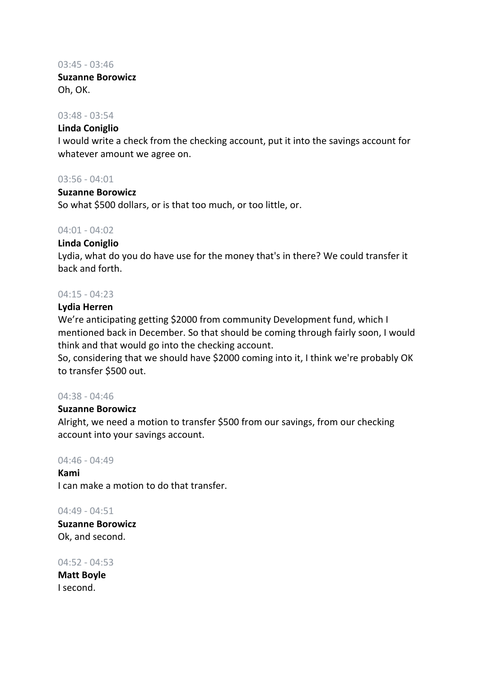#### 03:45 - 03:46

**Suzanne Borowicz** Oh, OK.

# 03:48 - 03:54

# **Linda Coniglio**

I would write a check from the checking account, put it into the savings account for whatever amount we agree on.

# 03:56 - 04:01

# **Suzanne Borowicz**

So what \$500 dollars, or is that too much, or too little, or.

# 04:01 - 04:02

# **Linda Coniglio**

Lydia, what do you do have use for the money that's in there? We could transfer it back and forth.

# 04:15 - 04:23

#### **Lydia Herren**

We're anticipating getting \$2000 from community Development fund, which I mentioned back in December. So that should be coming through fairly soon, I would think and that would go into the checking account.

So, considering that we should have \$2000 coming into it, I think we're probably OK to transfer \$500 out.

# 04:38 - 04:46

# **Suzanne Borowicz**

Alright, we need a motion to transfer \$500 from our savings, from our checking account into your savings account.

#### 04:46 - 04:49

**Kami** I can make a motion to do that transfer.

#### 04:49 - 04:51

**Suzanne Borowicz** Ok, and second.

04:52 - 04:53 **Matt Boyle** I second.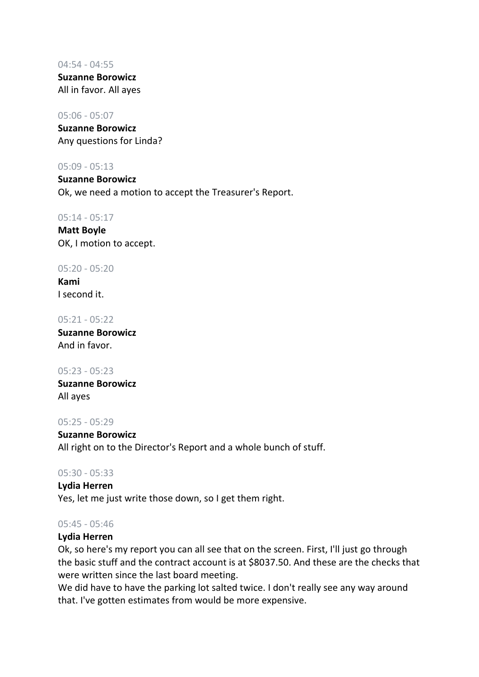04:54 - 04:55 **Suzanne Borowicz** All in favor. All ayes

#### 05:06 - 05:07

**Suzanne Borowicz** Any questions for Linda?

# 05:09 - 05:13

**Suzanne Borowicz** Ok, we need a motion to accept the Treasurer's Report.

#### 05:14 - 05:17

**Matt Boyle** OK, I motion to accept.

#### 05:20 - 05:20

**Kami** I second it.

#### 05:21 - 05:22

**Suzanne Borowicz** And in favor.

# 05:23 - 05:23

**Suzanne Borowicz** All ayes

#### 05:25 - 05:29

**Suzanne Borowicz** All right on to the Director's Report and a whole bunch of stuff.

# 05:30 - 05:33

**Lydia Herren** Yes, let me just write those down, so I get them right.

#### 05:45 - 05:46

# **Lydia Herren**

Ok, so here's my report you can all see that on the screen. First, I'll just go through the basic stuff and the contract account is at \$8037.50. And these are the checks that were written since the last board meeting.

We did have to have the parking lot salted twice. I don't really see any way around that. I've gotten estimates from would be more expensive.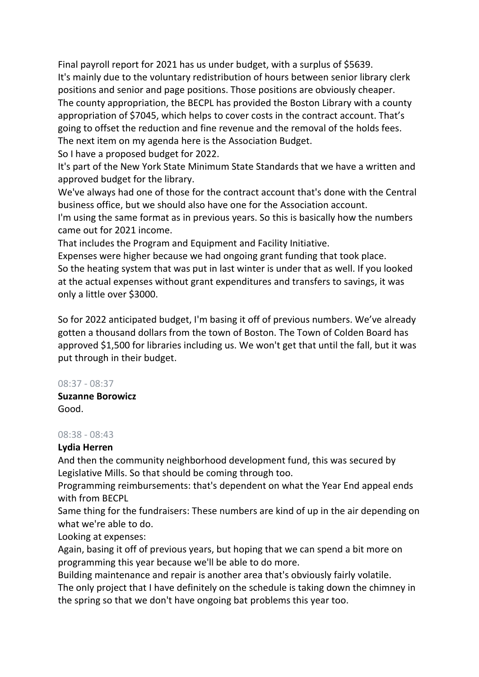Final payroll report for 2021 has us under budget, with a surplus of \$5639. It's mainly due to the voluntary redistribution of hours between senior library clerk positions and senior and page positions. Those positions are obviously cheaper. The county appropriation, the BECPL has provided the Boston Library with a county appropriation of \$7045, which helps to cover costs in the contract account. That's going to offset the reduction and fine revenue and the removal of the holds fees. The next item on my agenda here is the Association Budget.

So I have a proposed budget for 2022.

It's part of the New York State Minimum State Standards that we have a written and approved budget for the library.

We've always had one of those for the contract account that's done with the Central business office, but we should also have one for the Association account.

I'm using the same format as in previous years. So this is basically how the numbers came out for 2021 income.

That includes the Program and Equipment and Facility Initiative.

Expenses were higher because we had ongoing grant funding that took place. So the heating system that was put in last winter is under that as well. If you looked at the actual expenses without grant expenditures and transfers to savings, it was only a little over \$3000.

So for 2022 anticipated budget, I'm basing it off of previous numbers. We've already gotten a thousand dollars from the town of Boston. The Town of Colden Board has approved \$1,500 for libraries including us. We won't get that until the fall, but it was put through in their budget.

# 08:37 - 08:37

**Suzanne Borowicz** Good.

# 08:38 - 08:43

# **Lydia Herren**

And then the community neighborhood development fund, this was secured by Legislative Mills. So that should be coming through too.

Programming reimbursements: that's dependent on what the Year End appeal ends with from BECPL

Same thing for the fundraisers: These numbers are kind of up in the air depending on what we're able to do.

Looking at expenses:

Again, basing it off of previous years, but hoping that we can spend a bit more on programming this year because we'll be able to do more.

Building maintenance and repair is another area that's obviously fairly volatile.

The only project that I have definitely on the schedule is taking down the chimney in the spring so that we don't have ongoing bat problems this year too.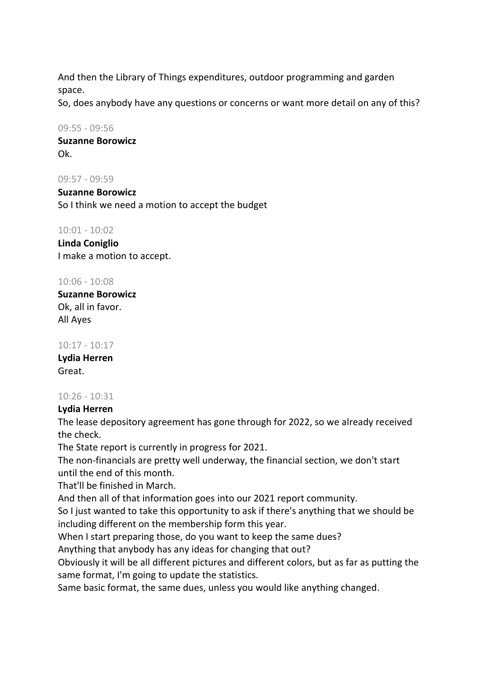And then the Library of Things expenditures, outdoor programming and garden space.

So, does anybody have any questions or concerns or want more detail on any of this?

# 09:55 - 09:56

**Suzanne Borowicz** Ok.

09:57 - 09:59

**Suzanne Borowicz** So I think we need a motion to accept the budget

# 10:01 - 10:02

**Linda Coniglio** I make a motion to accept.

# 10:06 - 10:08

**Suzanne Borowicz** Ok, all in favor. All Ayes

# 10:17 - 10:17

**Lydia Herren** Great.

# 10:26 - 10:31

# **Lydia Herren**

The lease depository agreement has gone through for 2022, so we already received the check.

The State report is currently in progress for 2021.

The non-financials are pretty well underway, the financial section, we don't start until the end of this month.

That'll be finished in March.

And then all of that information goes into our 2021 report community.

So I just wanted to take this opportunity to ask if there's anything that we should be including different on the membership form this year.

When I start preparing those, do you want to keep the same dues?

Anything that anybody has any ideas for changing that out?

Obviously it will be all different pictures and different colors, but as far as putting the same format, I'm going to update the statistics.

Same basic format, the same dues, unless you would like anything changed.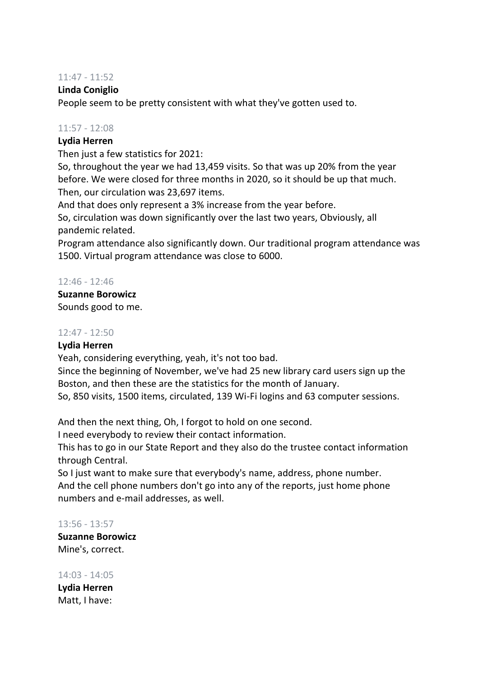# 11:47 - 11:52

# **Linda Coniglio**

People seem to be pretty consistent with what they've gotten used to.

# 11:57 - 12:08

# **Lydia Herren**

Then just a few statistics for 2021:

So, throughout the year we had 13,459 visits. So that was up 20% from the year before. We were closed for three months in 2020, so it should be up that much. Then, our circulation was 23,697 items.

And that does only represent a 3% increase from the year before.

So, circulation was down significantly over the last two years, Obviously, all pandemic related.

Program attendance also significantly down. Our traditional program attendance was 1500. Virtual program attendance was close to 6000.

# 12:46 - 12:46

# **Suzanne Borowicz** Sounds good to me.

# 12:47 - 12:50

# **Lydia Herren**

Yeah, considering everything, yeah, it's not too bad.

Since the beginning of November, we've had 25 new library card users sign up the Boston, and then these are the statistics for the month of January.

So, 850 visits, 1500 items, circulated, 139 Wi-Fi logins and 63 computer sessions.

And then the next thing, Oh, I forgot to hold on one second.

I need everybody to review their contact information.

This has to go in our State Report and they also do the trustee contact information through Central.

So I just want to make sure that everybody's name, address, phone number. And the cell phone numbers don't go into any of the reports, just home phone numbers and e-mail addresses, as well.

# 13:56 - 13:57

**Suzanne Borowicz** Mine's, correct.

14:03 - 14:05

**Lydia Herren** Matt, I have: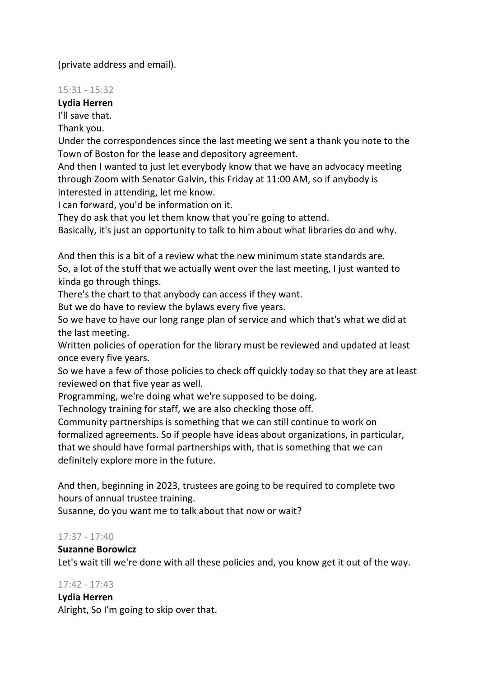(private address and email).

# 15:31 - 15:32

**Lydia Herren**

I'll save that.

Thank you.

Under the correspondences since the last meeting we sent a thank you note to the Town of Boston for the lease and depository agreement.

And then I wanted to just let everybody know that we have an advocacy meeting through Zoom with Senator Galvin, this Friday at 11:00 AM, so if anybody is interested in attending, let me know.

I can forward, you'd be information on it.

They do ask that you let them know that you're going to attend.

Basically, it's just an opportunity to talk to him about what libraries do and why.

And then this is a bit of a review what the new minimum state standards are. So, a lot of the stuff that we actually went over the last meeting, I just wanted to kinda go through things.

There's the chart to that anybody can access if they want.

But we do have to review the bylaws every five years.

So we have to have our long range plan of service and which that's what we did at the last meeting.

Written policies of operation for the library must be reviewed and updated at least once every five years.

So we have a few of those policies to check off quickly today so that they are at least reviewed on that five year as well.

Programming, we're doing what we're supposed to be doing.

Technology training for staff, we are also checking those off.

Community partnerships is something that we can still continue to work on formalized agreements. So if people have ideas about organizations, in particular, that we should have formal partnerships with, that is something that we can definitely explore more in the future.

And then, beginning in 2023, trustees are going to be required to complete two hours of annual trustee training.

Susanne, do you want me to talk about that now or wait?

# 17:37 - 17:40

# **Suzanne Borowicz**

Let's wait till we're done with all these policies and, you know get it out of the way.

# 17:42 - 17:43

**Lydia Herren**

Alright, So I'm going to skip over that.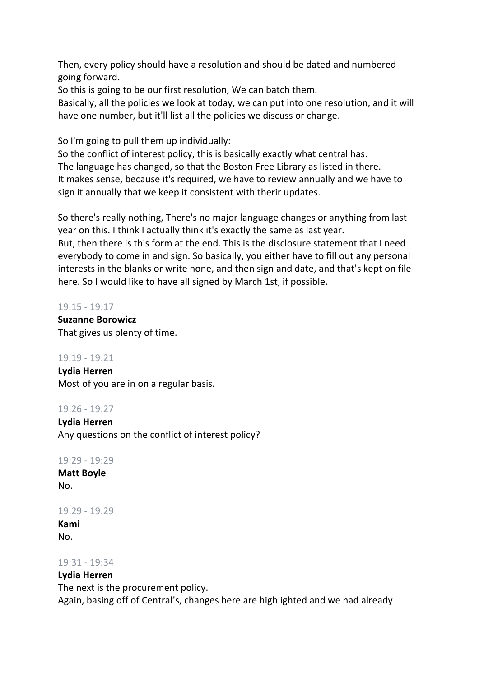Then, every policy should have a resolution and should be dated and numbered going forward.

So this is going to be our first resolution, We can batch them.

Basically, all the policies we look at today, we can put into one resolution, and it will have one number, but it'll list all the policies we discuss or change.

So I'm going to pull them up individually:

So the conflict of interest policy, this is basically exactly what central has. The language has changed, so that the Boston Free Library as listed in there. It makes sense, because it's required, we have to review annually and we have to sign it annually that we keep it consistent with therir updates.

So there's really nothing, There's no major language changes or anything from last year on this. I think I actually think it's exactly the same as last year.

But, then there is this form at the end. This is the disclosure statement that I need everybody to come in and sign. So basically, you either have to fill out any personal interests in the blanks or write none, and then sign and date, and that's kept on file here. So I would like to have all signed by March 1st, if possible.

# 19:15 - 19:17

**Suzanne Borowicz** That gives us plenty of time.

# 19:19 - 19:21

**Lydia Herren** Most of you are in on a regular basis.

# 19:26 - 19:27

**Lydia Herren** Any questions on the conflict of interest policy?

# 19:29 - 19:29

**Matt Boyle** No.

# 19:29 - 19:29

**Kami** No.

# 19:31 - 19:34

# **Lydia Herren**

The next is the procurement policy. Again, basing off of Central's, changes here are highlighted and we had already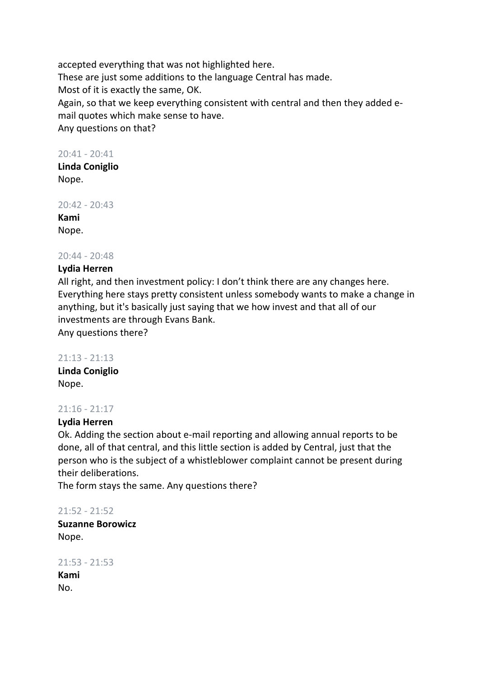accepted everything that was not highlighted here. These are just some additions to the language Central has made. Most of it is exactly the same, OK. Again, so that we keep everything consistent with central and then they added email quotes which make sense to have. Any questions on that?

# 20:41 - 20:41

**Linda Coniglio** Nope.

20:42 - 20:43

**Kami** Nope.

# 20:44 - 20:48

# **Lydia Herren**

All right, and then investment policy: I don't think there are any changes here. Everything here stays pretty consistent unless somebody wants to make a change in anything, but it's basically just saying that we how invest and that all of our investments are through Evans Bank.

Any questions there?

#### 21:13 - 21:13

**Linda Coniglio** Nope.

# 21:16 - 21:17

# **Lydia Herren**

Ok. Adding the section about e-mail reporting and allowing annual reports to be done, all of that central, and this little section is added by Central, just that the person who is the subject of a whistleblower complaint cannot be present during their deliberations.

The form stays the same. Any questions there?

21:52 - 21:52

**Suzanne Borowicz** Nope.

21:53 - 21:53 **Kami** No.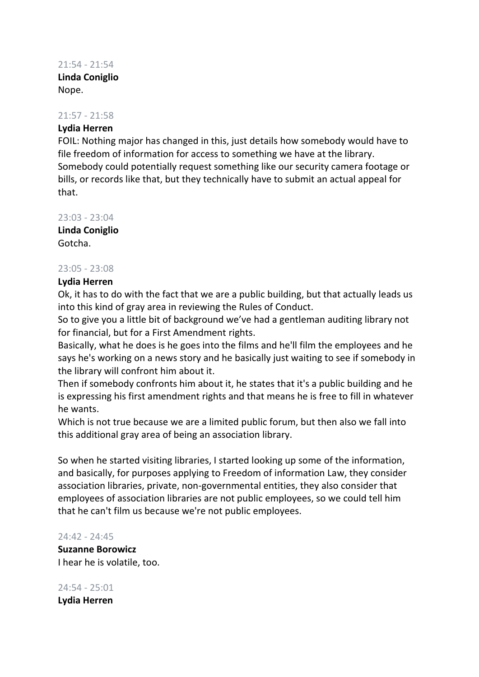# 21:54 - 21:54 **Linda Coniglio** Nope.

# 21:57 - 21:58

# **Lydia Herren**

FOIL: Nothing major has changed in this, just details how somebody would have to file freedom of information for access to something we have at the library. Somebody could potentially request something like our security camera footage or bills, or records like that, but they technically have to submit an actual appeal for that.

23:03 - 23:04

**Linda Coniglio** Gotcha.

# 23:05 - 23:08

# **Lydia Herren**

Ok, it has to do with the fact that we are a public building, but that actually leads us into this kind of gray area in reviewing the Rules of Conduct.

So to give you a little bit of background we've had a gentleman auditing library not for financial, but for a First Amendment rights.

Basically, what he does is he goes into the films and he'll film the employees and he says he's working on a news story and he basically just waiting to see if somebody in the library will confront him about it.

Then if somebody confronts him about it, he states that it's a public building and he is expressing his first amendment rights and that means he is free to fill in whatever he wants.

Which is not true because we are a limited public forum, but then also we fall into this additional gray area of being an association library.

So when he started visiting libraries, I started looking up some of the information, and basically, for purposes applying to Freedom of information Law, they consider association libraries, private, non-governmental entities, they also consider that employees of association libraries are not public employees, so we could tell him that he can't film us because we're not public employees.

# 24:42 - 24:45

**Suzanne Borowicz** I hear he is volatile, too.

24:54 - 25:01 **Lydia Herren**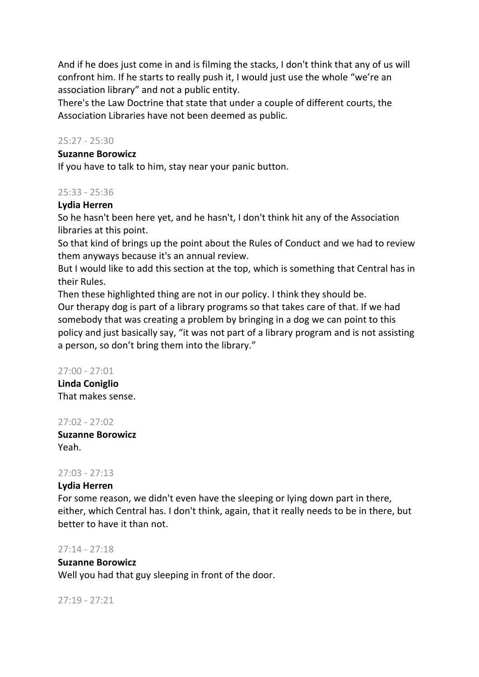And if he does just come in and is filming the stacks, I don't think that any of us will confront him. If he starts to really push it, I would just use the whole "we're an association library" and not a public entity.

There's the Law Doctrine that state that under a couple of different courts, the Association Libraries have not been deemed as public.

# 25:27 - 25:30

# **Suzanne Borowicz**

If you have to talk to him, stay near your panic button.

# 25:33 - 25:36

# **Lydia Herren**

So he hasn't been here yet, and he hasn't, I don't think hit any of the Association libraries at this point.

So that kind of brings up the point about the Rules of Conduct and we had to review them anyways because it's an annual review.

But I would like to add this section at the top, which is something that Central has in their Rules.

Then these highlighted thing are not in our policy. I think they should be. Our therapy dog is part of a library programs so that takes care of that. If we had somebody that was creating a problem by bringing in a dog we can point to this policy and just basically say, "it was not part of a library program and is not assisting a person, so don't bring them into the library."

# 27:00 - 27:01

**Linda Coniglio** That makes sense.

# 27:02 - 27:02

**Suzanne Borowicz** Yeah.

# 27:03 - 27:13

# **Lydia Herren**

For some reason, we didn't even have the sleeping or lying down part in there, either, which Central has. I don't think, again, that it really needs to be in there, but better to have it than not.

# 27:14 - 27:18

# **Suzanne Borowicz**

Well you had that guy sleeping in front of the door.

27:19 - 27:21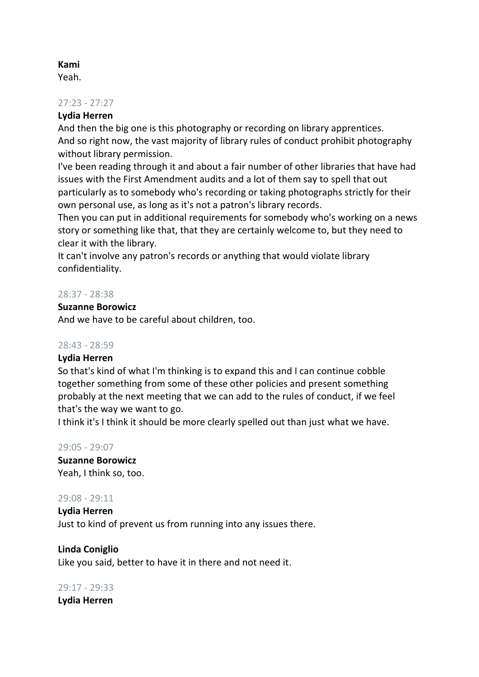# **Kami**

Yeah.

#### 27:23 - 27:27

# **Lydia Herren**

And then the big one is this photography or recording on library apprentices. And so right now, the vast majority of library rules of conduct prohibit photography without library permission.

I've been reading through it and about a fair number of other libraries that have had issues with the First Amendment audits and a lot of them say to spell that out particularly as to somebody who's recording or taking photographs strictly for their own personal use, as long as it's not a patron's library records.

Then you can put in additional requirements for somebody who's working on a news story or something like that, that they are certainly welcome to, but they need to clear it with the library.

It can't involve any patron's records or anything that would violate library confidentiality.

# 28:37 - 28:38

#### **Suzanne Borowicz**

And we have to be careful about children, too.

#### 28:43 - 28:59

# **Lydia Herren**

So that's kind of what I'm thinking is to expand this and I can continue cobble together something from some of these other policies and present something probably at the next meeting that we can add to the rules of conduct, if we feel that's the way we want to go.

I think it's I think it should be more clearly spelled out than just what we have.

29:05 - 29:07 **Suzanne Borowicz** Yeah, I think so, too.

#### 29:08 - 29:11

**Lydia Herren** Just to kind of prevent us from running into any issues there.

**Linda Coniglio** Like you said, better to have it in there and not need it.

29:17 - 29:33 **Lydia Herren**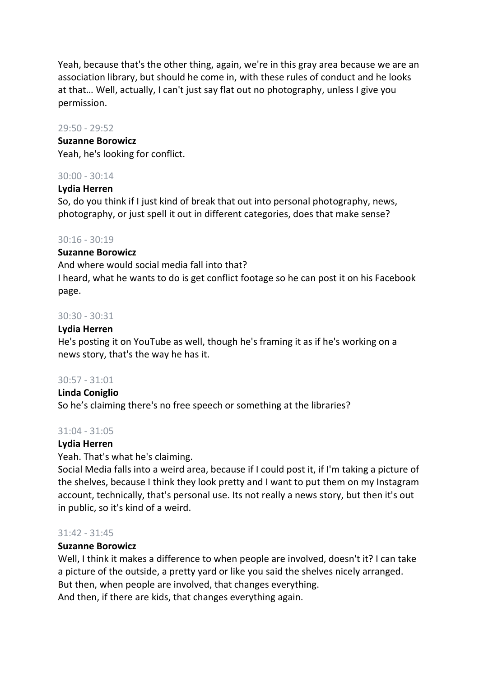Yeah, because that's the other thing, again, we're in this gray area because we are an association library, but should he come in, with these rules of conduct and he looks at that… Well, actually, I can't just say flat out no photography, unless I give you permission.

#### 29:50 - 29:52

#### **Suzanne Borowicz**

Yeah, he's looking for conflict.

# 30:00 - 30:14

# **Lydia Herren**

So, do you think if I just kind of break that out into personal photography, news, photography, or just spell it out in different categories, does that make sense?

# 30:16 - 30:19

# **Suzanne Borowicz**

And where would social media fall into that? I heard, what he wants to do is get conflict footage so he can post it on his Facebook page.

# 30:30 - 30:31

# **Lydia Herren**

He's posting it on YouTube as well, though he's framing it as if he's working on a news story, that's the way he has it.

# 30:57 - 31:01

# **Linda Coniglio**

So he's claiming there's no free speech or something at the libraries?

# 31:04 - 31:05

# **Lydia Herren**

Yeah. That's what he's claiming.

Social Media falls into a weird area, because if I could post it, if I'm taking a picture of the shelves, because I think they look pretty and I want to put them on my Instagram account, technically, that's personal use. Its not really a news story, but then it's out in public, so it's kind of a weird.

# 31:42 - 31:45

# **Suzanne Borowicz**

Well, I think it makes a difference to when people are involved, doesn't it? I can take a picture of the outside, a pretty yard or like you said the shelves nicely arranged. But then, when people are involved, that changes everything. And then, if there are kids, that changes everything again.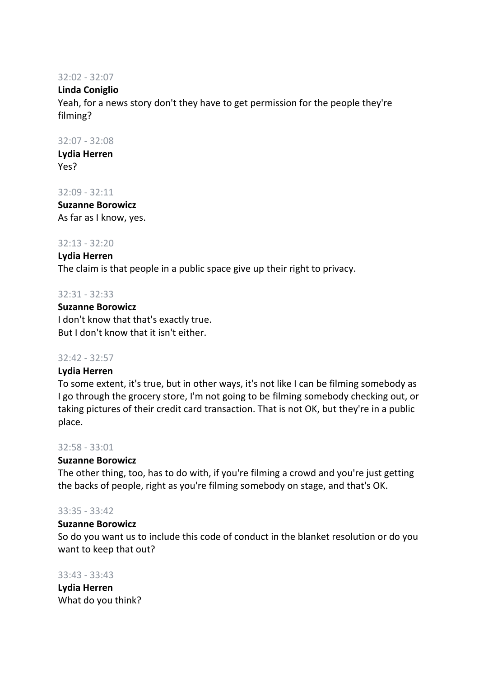#### 32:02 - 32:07

# **Linda Coniglio**

Yeah, for a news story don't they have to get permission for the people they're filming?

## 32:07 - 32:08

**Lydia Herren** Yes?

#### 32:09 - 32:11

**Suzanne Borowicz** As far as I know, yes.

#### 32:13 - 32:20

#### **Lydia Herren**

The claim is that people in a public space give up their right to privacy.

#### 32:31 - 32:33

# **Suzanne Borowicz** I don't know that that's exactly true. But I don't know that it isn't either.

# 32:42 - 32:57

# **Lydia Herren**

To some extent, it's true, but in other ways, it's not like I can be filming somebody as I go through the grocery store, I'm not going to be filming somebody checking out, or taking pictures of their credit card transaction. That is not OK, but they're in a public place.

#### 32:58 - 33:01

# **Suzanne Borowicz**

The other thing, too, has to do with, if you're filming a crowd and you're just getting the backs of people, right as you're filming somebody on stage, and that's OK.

#### 33:35 - 33:42

# **Suzanne Borowicz**

So do you want us to include this code of conduct in the blanket resolution or do you want to keep that out?

#### 33:43 - 33:43

**Lydia Herren** What do you think?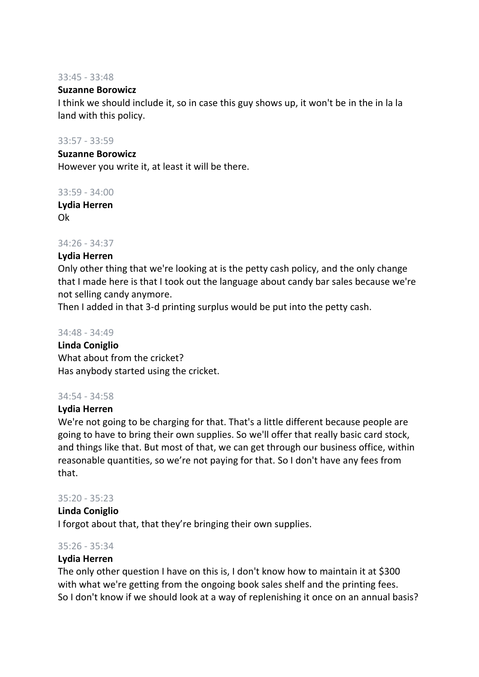#### 33:45 - 33:48

## **Suzanne Borowicz**

I think we should include it, so in case this guy shows up, it won't be in the in la la land with this policy.

#### 33:57 - 33:59

# **Suzanne Borowicz**

However you write it, at least it will be there.

#### 33:59 - 34:00

**Lydia Herren** Ok

#### 34:26 - 34:37

# **Lydia Herren**

Only other thing that we're looking at is the petty cash policy, and the only change that I made here is that I took out the language about candy bar sales because we're not selling candy anymore.

Then I added in that 3-d printing surplus would be put into the petty cash.

#### 34:48 - 34:49

# **Linda Coniglio** What about from the cricket? Has anybody started using the cricket.

# 34:54 - 34:58

# **Lydia Herren**

We're not going to be charging for that. That's a little different because people are going to have to bring their own supplies. So we'll offer that really basic card stock, and things like that. But most of that, we can get through our business office, within reasonable quantities, so we're not paying for that. So I don't have any fees from that.

# 35:20 - 35:23

#### **Linda Coniglio**

I forgot about that, that they're bringing their own supplies.

# 35:26 - 35:34

# **Lydia Herren**

The only other question I have on this is, I don't know how to maintain it at \$300 with what we're getting from the ongoing book sales shelf and the printing fees. So I don't know if we should look at a way of replenishing it once on an annual basis?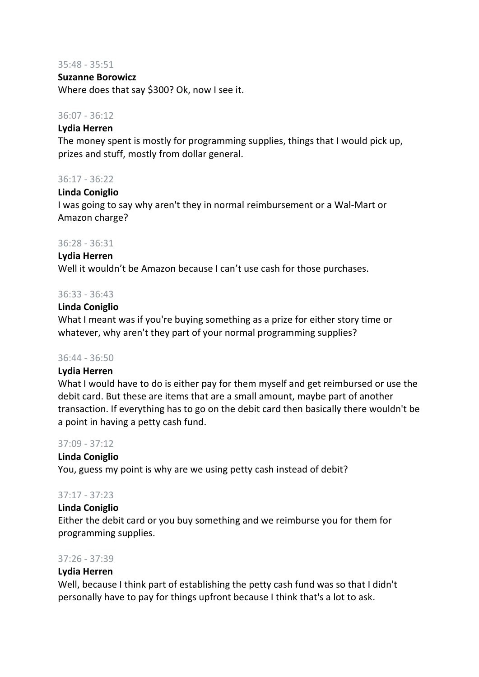#### 35:48 - 35:51

#### **Suzanne Borowicz**

Where does that say \$300? Ok, now I see it.

## 36:07 - 36:12

#### **Lydia Herren**

The money spent is mostly for programming supplies, things that I would pick up, prizes and stuff, mostly from dollar general.

#### 36:17 - 36:22

#### **Linda Coniglio**

I was going to say why aren't they in normal reimbursement or a Wal-Mart or Amazon charge?

#### 36:28 - 36:31

#### **Lydia Herren**

Well it wouldn't be Amazon because I can't use cash for those purchases.

#### 36:33 - 36:43

#### **Linda Coniglio**

What I meant was if you're buying something as a prize for either story time or whatever, why aren't they part of your normal programming supplies?

#### 36:44 - 36:50

#### **Lydia Herren**

What I would have to do is either pay for them myself and get reimbursed or use the debit card. But these are items that are a small amount, maybe part of another transaction. If everything has to go on the debit card then basically there wouldn't be a point in having a petty cash fund.

#### 37:09 - 37:12

# **Linda Coniglio**

You, guess my point is why are we using petty cash instead of debit?

# 37:17 - 37:23

# **Linda Coniglio**

Either the debit card or you buy something and we reimburse you for them for programming supplies.

#### 37:26 - 37:39

# **Lydia Herren**

Well, because I think part of establishing the petty cash fund was so that I didn't personally have to pay for things upfront because I think that's a lot to ask.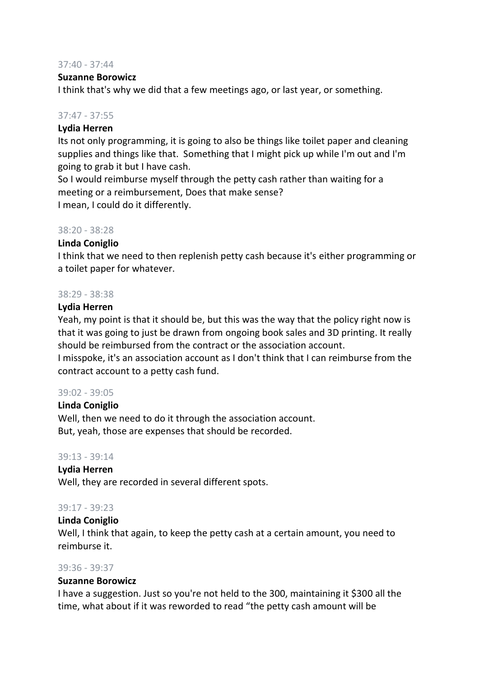#### 37:40 - 37:44

#### **Suzanne Borowicz**

I think that's why we did that a few meetings ago, or last year, or something.

# 37:47 - 37:55

## **Lydia Herren**

Its not only programming, it is going to also be things like toilet paper and cleaning supplies and things like that. Something that I might pick up while I'm out and I'm going to grab it but I have cash.

So I would reimburse myself through the petty cash rather than waiting for a meeting or a reimbursement, Does that make sense? I mean, I could do it differently.

#### 38:20 - 38:28

# **Linda Coniglio**

I think that we need to then replenish petty cash because it's either programming or a toilet paper for whatever.

#### 38:29 - 38:38

#### **Lydia Herren**

Yeah, my point is that it should be, but this was the way that the policy right now is that it was going to just be drawn from ongoing book sales and 3D printing. It really should be reimbursed from the contract or the association account.

I misspoke, it's an association account as I don't think that I can reimburse from the contract account to a petty cash fund.

#### 39:02 - 39:05

#### **Linda Coniglio**

Well, then we need to do it through the association account. But, yeah, those are expenses that should be recorded.

#### 39:13 - 39:14

#### **Lydia Herren**

Well, they are recorded in several different spots.

# 39:17 - 39:23

# **Linda Coniglio**

Well, I think that again, to keep the petty cash at a certain amount, you need to reimburse it.

# 39:36 - 39:37

#### **Suzanne Borowicz**

I have a suggestion. Just so you're not held to the 300, maintaining it \$300 all the time, what about if it was reworded to read "the petty cash amount will be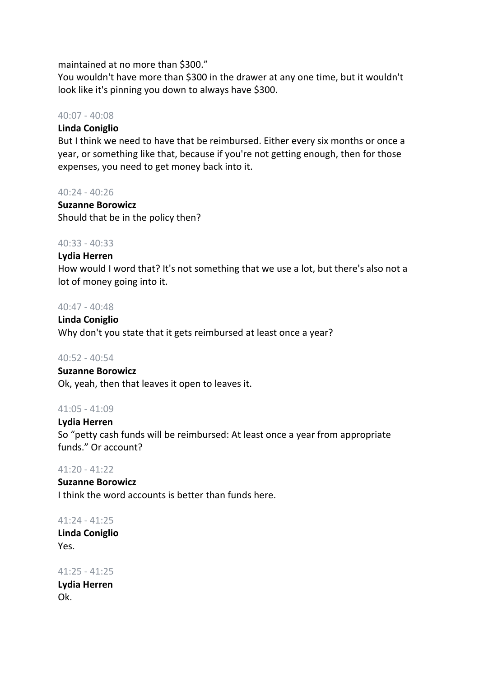maintained at no more than \$300."

You wouldn't have more than \$300 in the drawer at any one time, but it wouldn't look like it's pinning you down to always have \$300.

## 40:07 - 40:08

# **Linda Coniglio**

But I think we need to have that be reimbursed. Either every six months or once a year, or something like that, because if you're not getting enough, then for those expenses, you need to get money back into it.

#### 40:24 - 40:26

#### **Suzanne Borowicz**

Should that be in the policy then?

#### 40:33 - 40:33

#### **Lydia Herren**

How would I word that? It's not something that we use a lot, but there's also not a lot of money going into it.

#### 40:47 - 40:48

#### **Linda Coniglio**

Why don't you state that it gets reimbursed at least once a year?

#### 40:52 - 40:54

#### **Suzanne Borowicz**

Ok, yeah, then that leaves it open to leaves it.

#### 41:05 - 41:09

#### **Lydia Herren**

So "petty cash funds will be reimbursed: At least once a year from appropriate funds." Or account?

#### 41:20 - 41:22

#### **Suzanne Borowicz**

I think the word accounts is better than funds here.

# 41:24 - 41:25

**Linda Coniglio** Yes.

41:25 - 41:25 **Lydia Herren** Ok.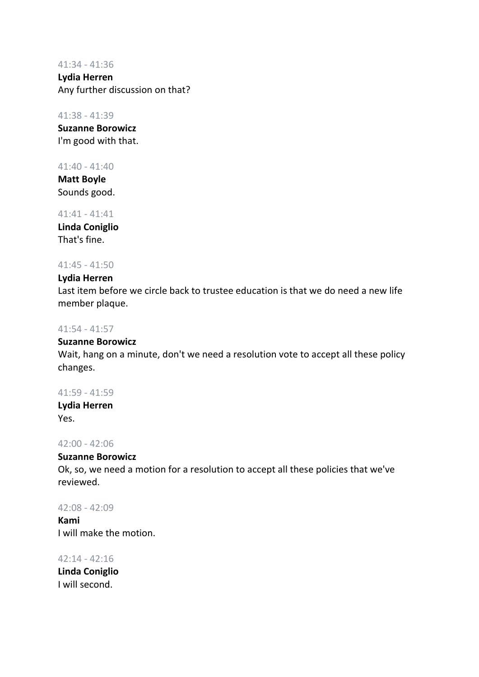#### 41:34 - 41:36

**Lydia Herren** Any further discussion on that?

## 41:38 - 41:39

**Suzanne Borowicz** I'm good with that.

# 41:40 - 41:40

**Matt Boyle** Sounds good.

# 41:41 - 41:41

**Linda Coniglio** That's fine.

# 41:45 - 41:50

# **Lydia Herren**

Last item before we circle back to trustee education is that we do need a new life member plaque.

# 41:54 - 41:57

# **Suzanne Borowicz**

Wait, hang on a minute, don't we need a resolution vote to accept all these policy changes.

# 41:59 - 41:59

**Lydia Herren** Yes.

# 42:00 - 42:06

# **Suzanne Borowicz**

Ok, so, we need a motion for a resolution to accept all these policies that we've reviewed.

# 42:08 - 42:09

**Kami** I will make the motion.

42:14 - 42:16 **Linda Coniglio** I will second.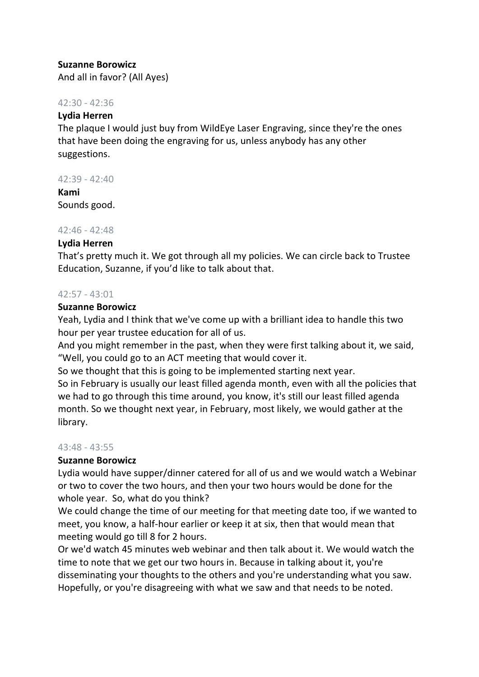# **Suzanne Borowicz**

And all in favor? (All Ayes)

# 42:30 - 42:36

# **Lydia Herren**

The plaque I would just buy from WildEye Laser Engraving, since they're the ones that have been doing the engraving for us, unless anybody has any other suggestions.

#### 42:39 - 42:40

**Kami** Sounds good.

# 42:46 - 42:48

# **Lydia Herren**

That's pretty much it. We got through all my policies. We can circle back to Trustee Education, Suzanne, if you'd like to talk about that.

# 42:57 - 43:01

#### **Suzanne Borowicz**

Yeah, Lydia and I think that we've come up with a brilliant idea to handle this two hour per year trustee education for all of us.

And you might remember in the past, when they were first talking about it, we said, "Well, you could go to an ACT meeting that would cover it.

So we thought that this is going to be implemented starting next year. So in February is usually our least filled agenda month, even with all the policies that we had to go through this time around, you know, it's still our least filled agenda month. So we thought next year, in February, most likely, we would gather at the library.

# 43:48 - 43:55

# **Suzanne Borowicz**

Lydia would have supper/dinner catered for all of us and we would watch a Webinar or two to cover the two hours, and then your two hours would be done for the whole year. So, what do you think?

We could change the time of our meeting for that meeting date too, if we wanted to meet, you know, a half-hour earlier or keep it at six, then that would mean that meeting would go till 8 for 2 hours.

Or we'd watch 45 minutes web webinar and then talk about it. We would watch the time to note that we get our two hours in. Because in talking about it, you're disseminating your thoughts to the others and you're understanding what you saw. Hopefully, or you're disagreeing with what we saw and that needs to be noted.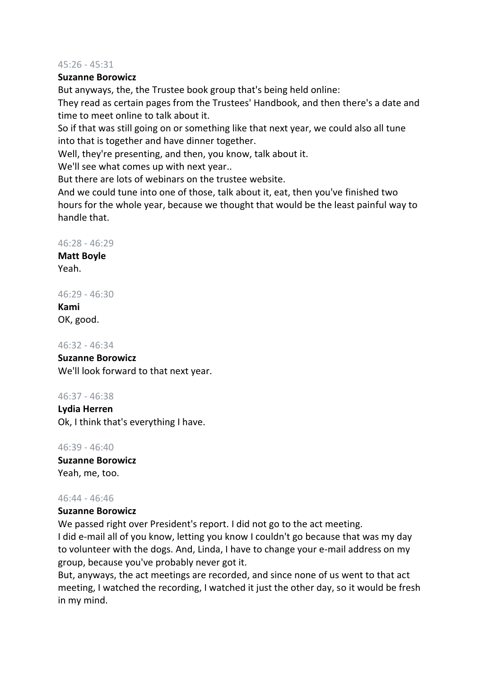#### 45:26 - 45:31

# **Suzanne Borowicz**

But anyways, the, the Trustee book group that's being held online:

They read as certain pages from the Trustees' Handbook, and then there's a date and time to meet online to talk about it.

So if that was still going on or something like that next year, we could also all tune into that is together and have dinner together.

Well, they're presenting, and then, you know, talk about it.

We'll see what comes up with next year..

But there are lots of webinars on the trustee website.

And we could tune into one of those, talk about it, eat, then you've finished two hours for the whole year, because we thought that would be the least painful way to handle that.

# 46:28 - 46:29

**Matt Boyle** Yeah.

# 46:29 - 46:30

**Kami** OK, good.

# 46:32 - 46:34

# **Suzanne Borowicz**

We'll look forward to that next year.

# 46:37 - 46:38

**Lydia Herren** Ok, I think that's everything I have.

46:39 - 46:40 **Suzanne Borowicz** Yeah, me, too.

# 46:44 - 46:46

# **Suzanne Borowicz**

We passed right over President's report. I did not go to the act meeting. I did e-mail all of you know, letting you know I couldn't go because that was my day to volunteer with the dogs. And, Linda, I have to change your e-mail address on my group, because you've probably never got it.

But, anyways, the act meetings are recorded, and since none of us went to that act meeting, I watched the recording, I watched it just the other day, so it would be fresh in my mind.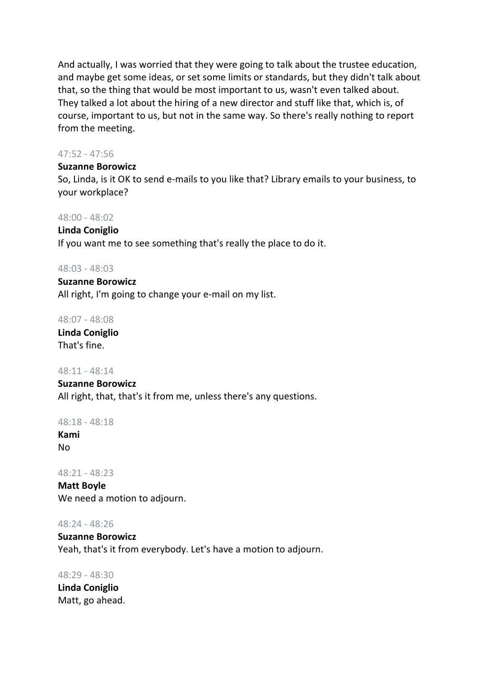And actually, I was worried that they were going to talk about the trustee education, and maybe get some ideas, or set some limits or standards, but they didn't talk about that, so the thing that would be most important to us, wasn't even talked about. They talked a lot about the hiring of a new director and stuff like that, which is, of course, important to us, but not in the same way. So there's really nothing to report from the meeting.

# 47:52 - 47:56

#### **Suzanne Borowicz**

So, Linda, is it OK to send e-mails to you like that? Library emails to your business, to your workplace?

#### 48:00 - 48:02

**Linda Coniglio** If you want me to see something that's really the place to do it.

#### 48:03 - 48:03

**Suzanne Borowicz** All right, I'm going to change your e-mail on my list.

#### 48:07 - 48:08

**Linda Coniglio** That's fine.

#### 48:11 - 48:14

**Suzanne Borowicz** All right, that, that's it from me, unless there's any questions.

48:18 - 48:18

**Kami** No

#### 48:21 - 48:23

**Matt Boyle** We need a motion to adjourn.

#### 48:24 - 48:26

## **Suzanne Borowicz**

Yeah, that's it from everybody. Let's have a motion to adjourn.

#### 48:29 - 48:30

**Linda Coniglio** Matt, go ahead.